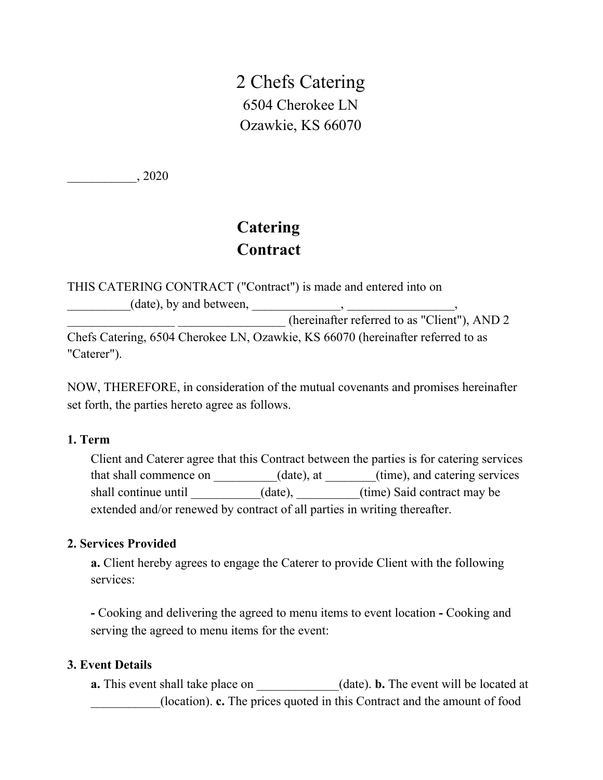2 Chefs Catering 6504 Cherokee LN Ozawkie, KS 66070

\_\_\_\_\_\_\_\_\_\_\_, 2020

# **Catering Contract**

THIS CATERING CONTRACT ("Contract") is made and entered into on  $(\text{date}), \text{by and between}, \_\_\_\_\_\$ (hereinafter referred to as "Client"), AND 2

Chefs Catering, 6504 Cherokee LN, Ozawkie, KS 66070 (hereinafter referred to as "Caterer").

NOW, THEREFORE, in consideration of the mutual covenants and promises hereinafter set forth, the parties hereto agree as follows.

## **1. Term**

Client and Caterer agree that this Contract between the parties is for catering services that shall commence on  $(date)$ , at  $(time)$ , and catering services shall continue until \_\_\_\_\_\_\_\_\_(date), \_\_\_\_\_\_\_(time) Said contract may be extended and/or renewed by contract of all parties in writing thereafter.

## **2. Services Provided**

**a.** Client hereby agrees to engage the Caterer to provide Client with the following services:

**-** Cooking and delivering the agreed to menu items to event location **-** Cooking and serving the agreed to menu items for the event:

#### **3. Event Details**

**a.** This event shall take place on \_\_\_\_\_\_\_\_\_\_(date). **b.** The event will be located at \_\_\_\_\_\_\_\_\_\_\_(location). **c.** The prices quoted in this Contract and the amount of food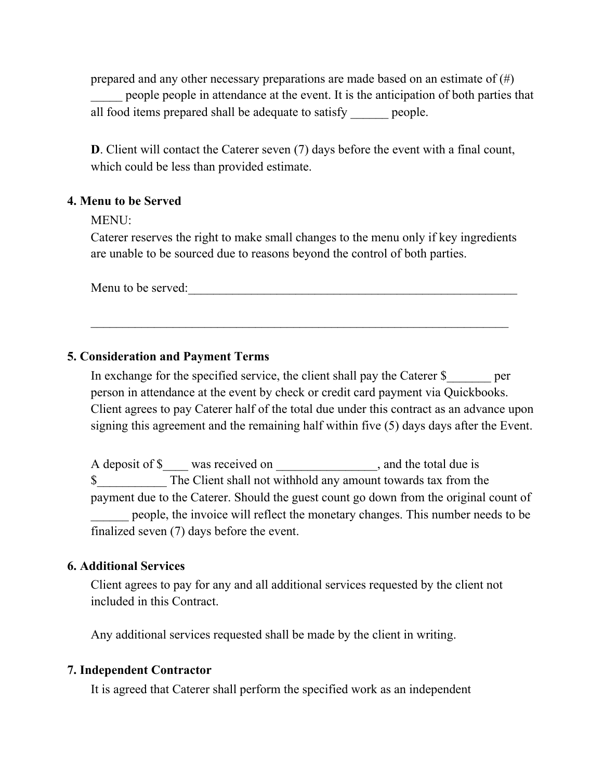prepared and any other necessary preparations are made based on an estimate of  $(\#)$ people people in attendance at the event. It is the anticipation of both parties that all food items prepared shall be adequate to satisfy people.

**D**. Client will contact the Caterer seven (7) days before the event with a final count, which could be less than provided estimate.

## **4. Menu to be Served**

MENU:

Caterer reserves the right to make small changes to the menu only if key ingredients are unable to be sourced due to reasons beyond the control of both parties.

Menu to be served:

## **5. Consideration and Payment Terms**

In exchange for the specified service, the client shall pay the Caterer \$\_\_\_\_\_\_\_ per person in attendance at the event by check or credit card payment via Quickbooks. Client agrees to pay Caterer half of the total due under this contract as an advance upon signing this agreement and the remaining half within five (5) days days after the Event.

A deposit of \$ was received on , and the total due is \$ The Client shall not withhold any amount towards tax from the payment due to the Caterer. Should the guest count go down from the original count of \_\_\_\_\_\_ people, the invoice will reflect the monetary changes. This number needs to be finalized seven (7) days before the event.

## **6. Additional Services**

Client agrees to pay for any and all additional services requested by the client not included in this Contract.

Any additional services requested shall be made by the client in writing.

## **7. Independent Contractor**

It is agreed that Caterer shall perform the specified work as an independent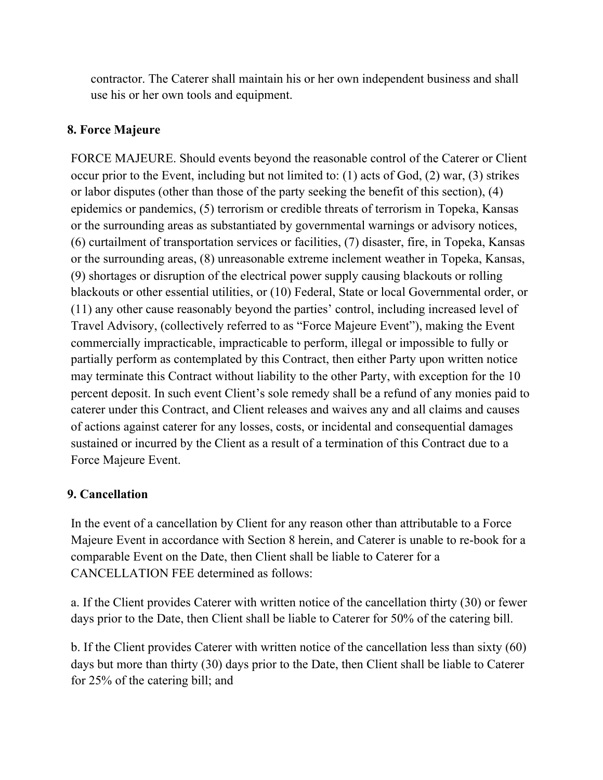contractor. The Caterer shall maintain his or her own independent business and shall use his or her own tools and equipment.

# **8. Force Majeure**

FORCE MAJEURE. Should events beyond the reasonable control of the Caterer or Client occur prior to the Event, including but not limited to: (1) acts of God, (2) war, (3) strikes or labor disputes (other than those of the party seeking the benefit of this section), (4) epidemics or pandemics, (5) terrorism or credible threats of terrorism in Topeka, Kansas or the surrounding areas as substantiated by governmental warnings or advisory notices, (6) curtailment of transportation services or facilities, (7) disaster, fire, in Topeka, Kansas or the surrounding areas, (8) unreasonable extreme inclement weather in Topeka, Kansas, (9) shortages or disruption of the electrical power supply causing blackouts or rolling blackouts or other essential utilities, or (10) Federal, State or local Governmental order, or (11) any other cause reasonably beyond the parties' control, including increased level of Travel Advisory, (collectively referred to as "Force Majeure Event"), making the Event commercially impracticable, impracticable to perform, illegal or impossible to fully or partially perform as contemplated by this Contract, then either Party upon written notice may terminate this Contract without liability to the other Party, with exception for the 10 percent deposit. In such event Client's sole remedy shall be a refund of any monies paid to caterer under this Contract, and Client releases and waives any and all claims and causes of actions against caterer for any losses, costs, or incidental and consequential damages sustained or incurred by the Client as a result of a termination of this Contract due to a Force Majeure Event.

# **9. Cancellation**

In the event of a cancellation by Client for any reason other than attributable to a Force Majeure Event in accordance with Section 8 herein, and Caterer is unable to re-book for a comparable Event on the Date, then Client shall be liable to Caterer for a CANCELLATION FEE determined as follows:

a. If the Client provides Caterer with written notice of the cancellation thirty (30) or fewer days prior to the Date, then Client shall be liable to Caterer for 50% of the catering bill.

b. If the Client provides Caterer with written notice of the cancellation less than sixty (60) days but more than thirty (30) days prior to the Date, then Client shall be liable to Caterer for 25% of the catering bill; and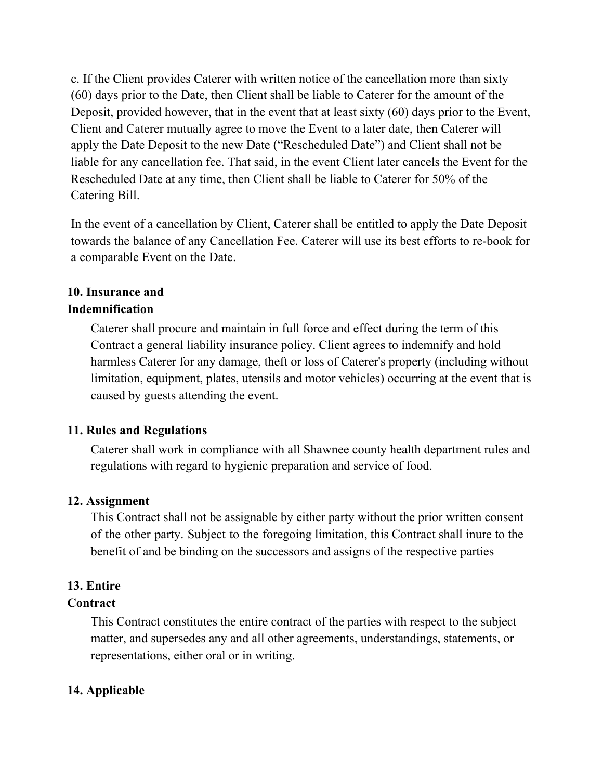c. If the Client provides Caterer with written notice of the cancellation more than sixty (60) days prior to the Date, then Client shall be liable to Caterer for the amount of the Deposit, provided however, that in the event that at least sixty (60) days prior to the Event, Client and Caterer mutually agree to move the Event to a later date, then Caterer will apply the Date Deposit to the new Date ("Rescheduled Date") and Client shall not be liable for any cancellation fee. That said, in the event Client later cancels the Event for the Rescheduled Date at any time, then Client shall be liable to Caterer for 50% of the Catering Bill.

In the event of a cancellation by Client, Caterer shall be entitled to apply the Date Deposit towards the balance of any Cancellation Fee. Caterer will use its best efforts to re-book for a comparable Event on the Date.

# **10. Insurance and Indemnification**

Caterer shall procure and maintain in full force and effect during the term of this Contract a general liability insurance policy. Client agrees to indemnify and hold harmless Caterer for any damage, theft or loss of Caterer's property (including without limitation, equipment, plates, utensils and motor vehicles) occurring at the event that is caused by guests attending the event.

# **11. Rules and Regulations**

Caterer shall work in compliance with all Shawnee county health department rules and regulations with regard to hygienic preparation and service of food.

# **12. Assignment**

This Contract shall not be assignable by either party without the prior written consent of the other party. Subject to the foregoing limitation, this Contract shall inure to the benefit of and be binding on the successors and assigns of the respective parties

# **13. Entire**

# **Contract**

This Contract constitutes the entire contract of the parties with respect to the subject matter, and supersedes any and all other agreements, understandings, statements, or representations, either oral or in writing.

# **14. Applicable**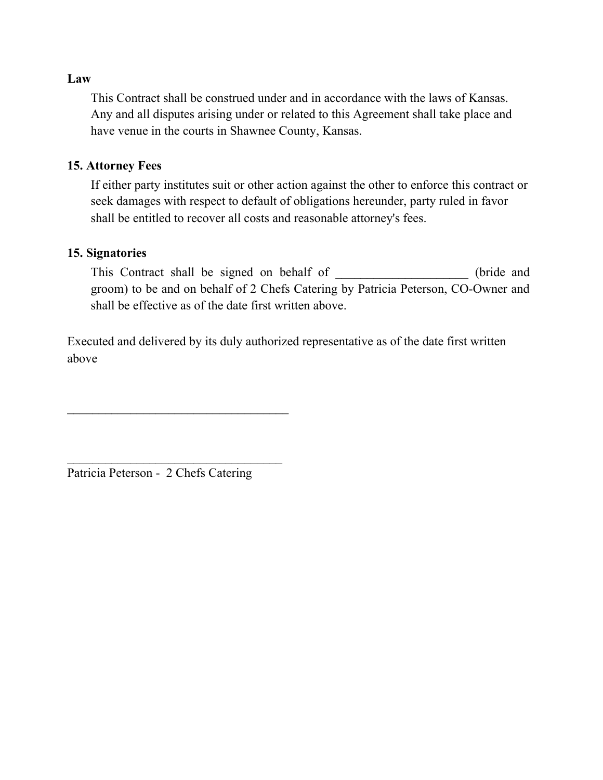#### **Law**

This Contract shall be construed under and in accordance with the laws of Kansas. Any and all disputes arising under or related to this Agreement shall take place and have venue in the courts in Shawnee County, Kansas.

#### **15. Attorney Fees**

If either party institutes suit or other action against the other to enforce this contract or seek damages with respect to default of obligations hereunder, party ruled in favor shall be entitled to recover all costs and reasonable attorney's fees.

## **15. Signatories**

This Contract shall be signed on behalf of \_\_\_\_\_\_\_\_\_\_\_\_\_\_\_\_\_\_\_ (bride and groom) to be and on behalf of 2 Chefs Catering by Patricia Peterson, CO-Owner and shall be effective as of the date first written above.

Executed and delivered by its duly authorized representative as of the date first written above

Patricia Peterson - 2 Chefs Catering